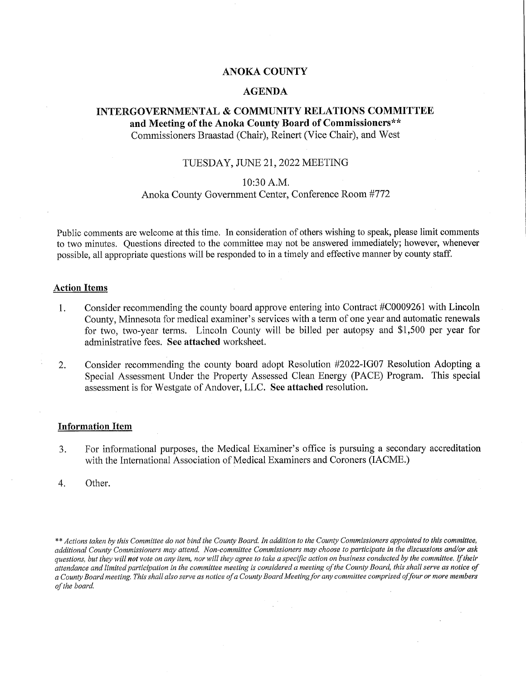## ANOKA COUNTY

### AGENDA

## INTERGOVERNMENTAL & COMMUNITY RELATIONS COMMITTEE and Meeting of the Anoka County Board of Commissioners\*\* Commissioners Braastad (Chair), Reinert (Vice Chair), and West

## TUESDAY, JUNE 21, 2022 MEETING

## 10:30 A.M.

## Anoka County Government Center, Conference Room #772

Public comments are welcome at this time. In consideration of others wishing to speak, please limit comments to two minutes. Questions directed to the committee may not be answered immediately; however, whenever possible, all appropriate questions will be responded to in a timely and effective manner by county staff.

#### Action Items

- 1. Consider recommending the county board approve entering into Contract #COOO9261 with Lincoln County, Minnesota for medical examiner's services with a term of one year and automatic renewals for two, two-year terms. Lincoln County will be billed per autopsy and \$1,500 per year for administrative fees. See attached worksheet.
- 2. Consider recommending the county board adopt Resolution #2022-IGO7 Resolution Adopting a Special Assessment Under the Property Assessed Clean Energy (PACE) Program. This special assessment is for Westgate of Andover, LLC. See attached resolution.

#### Information Item

- 3. For informational purposes, the Medical Examiner's office is pursuing a secondary accreditation with the International Association of Medical Examiners and Coroners (IACME.)
- 4. Other.

<sup>\*\*</sup> Actions taken by this Committee do not bind the County Board. In addition to the County Commissioners appointed to this committee, additional County Commissioners may attend. Non-committee Commissioners may choose to participate in the discussions and/or ask questions, but they will not vote on any item, nor will they agree to take a specific action on business conducted by the committee. If their attendance and limited participation in the committee meeting is considered a meeting of the County Board, this shall serve as notice of a County Board meeting. This shall also serve as notice of a County Board Meeting for any committee comprised of four or more members of the board.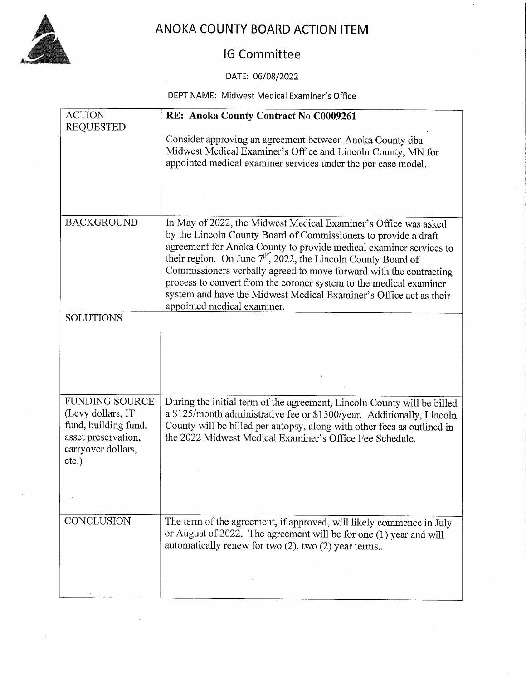

# ANOKA COUNTY BOARD ACTION ITEM

## IG Committee

## DATE: 06/08/2022

## DEPT NAME: Midwest Medical Examiner"s Office

| <b>ACTION</b>                                                                                                                | RE: Anoka County Contract No C0009261                                                                                                                                                                                                                                                                                                                                                                                                                               |
|------------------------------------------------------------------------------------------------------------------------------|---------------------------------------------------------------------------------------------------------------------------------------------------------------------------------------------------------------------------------------------------------------------------------------------------------------------------------------------------------------------------------------------------------------------------------------------------------------------|
| <b>REQUESTED</b>                                                                                                             | Consider approving an agreement between Anoka County dba<br>Midwest Medical Examiner's Office and Lincoln County, MN for<br>appointed medical examiner services under the per case model.                                                                                                                                                                                                                                                                           |
| <b>BACKGROUND</b>                                                                                                            | In May of 2022, the Midwest Medical Examiner's Office was asked                                                                                                                                                                                                                                                                                                                                                                                                     |
|                                                                                                                              | by the Lincoln County Board of Commissioners to provide a draft<br>agreement for Anoka County to provide medical examiner services to<br>their region. On June 7 <sup>th</sup> , 2022, the Lincoln County Board of<br>Commissioners verbally agreed to move forward with the contracting<br>process to convert from the coroner system to the medical examiner<br>system and have the Midwest Medical Examiner's Office act as their<br>appointed medical examiner. |
| <b>SOLUTIONS</b>                                                                                                             |                                                                                                                                                                                                                                                                                                                                                                                                                                                                     |
|                                                                                                                              |                                                                                                                                                                                                                                                                                                                                                                                                                                                                     |
| <b>FUNDING SOURCE</b><br>(Levy dollars, IT)<br>fund, building fund,<br>asset preservation,<br>carryover dollars,<br>$etc.$ ) | During the initial term of the agreement, Lincoln County will be billed<br>a \$125/month administrative fee or \$1500/year. Additionally, Lincoln<br>County will be billed per autopsy, along with other fees as outlined in<br>the 2022 Midwest Medical Examiner's Office Fee Schedule.                                                                                                                                                                            |
| CONCLUSION                                                                                                                   | The term of the agreement, if approved, will likely commence in July<br>or August of 2022. The agreement will be for one (1) year and will<br>automatically renew for two (2), two (2) year terms                                                                                                                                                                                                                                                                   |